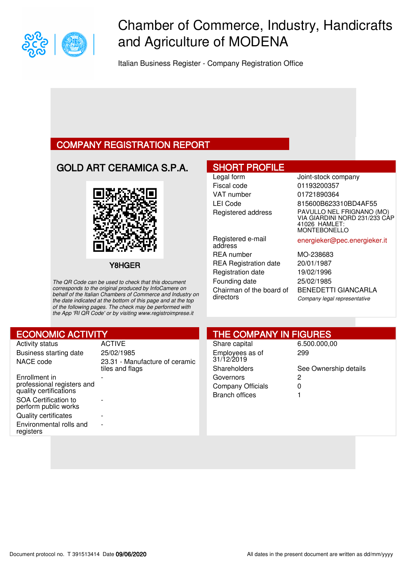

# Chamber of Commerce, Industry, Handicrafts and Agriculture of MODENA

Italian Business Register - Company Registration Office

### COMPANY REGISTRATION REPORT

## GOLD ART CERAMICA S.P.A.



Y8HGER

The QR Code can be used to check that this document corresponds to the original produced by InfoCamere on behalf of the Italian Chambers of Commerce and Industry on the date indicated at the bottom of this page and at the top of the following pages. The check may be performed with the App 'RI QR Code' or by visiting www.registroimprese.it

### SHORT PROFILE

Fiscal code 01193200357 VAT number 01721890364

Registered e-mail address REA number MO-238683 REA Registration date 20/01/1987 Registration date 19/02/1996 Founding date 25/02/1985 Chairman of the board of directors

Legal form **Joint-stock company** LEI Code 815600B623310BD4AF55 Registered address PAVULLO NEL FRIGNANO (MO) VIA GIARDINI NORD 231/233 CAP 41026 HAMLET: **MONTEBONELLO** 

energieker@pec.energieker.it

BENEDETTI GIANCARLA Company legal representative

| <b>ECONOMIC ACTIVITY</b>                     |                                | <b>THE COMPANY IN FIGURES</b> |                       |  |  |
|----------------------------------------------|--------------------------------|-------------------------------|-----------------------|--|--|
| <b>Activity status</b>                       | <b>ACTIVE</b>                  | Share capital                 | 6.500.000,00          |  |  |
| Business starting date                       | 25/02/1985                     | Employees as of               | 299                   |  |  |
| NACE code                                    | 23.31 - Manufacture of ceramic | 31/12/2019                    |                       |  |  |
|                                              | tiles and flags                | Shareholders                  | See Ownership details |  |  |
| Enrollment in                                |                                | Governors                     | 2                     |  |  |
| professional registers and                   |                                | <b>Company Officials</b>      | 0                     |  |  |
| quality certifications                       |                                | <b>Branch offices</b>         |                       |  |  |
| SOA Certification to<br>perform public works |                                |                               |                       |  |  |
| <b>Quality certificates</b>                  |                                |                               |                       |  |  |
| Environmental rolls and<br>registers         | $\overline{\phantom{0}}$       |                               |                       |  |  |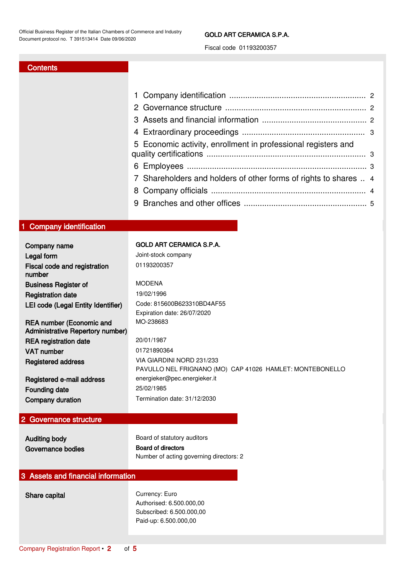#### GOLD ART CERAMICA S.P.A.

Fiscal code 01193200357

#### **Contents**

|               | 5 Economic activity, enrollment in professional registers and    |  |
|---------------|------------------------------------------------------------------|--|
|               |                                                                  |  |
|               | 7 Shareholders and holders of other forms of rights to shares  4 |  |
|               |                                                                  |  |
|               |                                                                  |  |
|               |                                                                  |  |
| dentification |                                                                  |  |
|               |                                                                  |  |

| Company namo |  |
|--------------|--|

<span id="page-1-0"></span>1 Company i

| GOLD ART CERAMICA S.P.A |  |  |  |  |  |  |
|-------------------------|--|--|--|--|--|--|
|-------------------------|--|--|--|--|--|--|

| Company name                                                        | <b>GOLD ART CERAMICA S.P.A.</b>                                                       |
|---------------------------------------------------------------------|---------------------------------------------------------------------------------------|
| Legal form                                                          | Joint-stock company                                                                   |
| Fiscal code and registration<br>number                              | 01193200357                                                                           |
| <b>Business Register of</b>                                         | <b>MODENA</b>                                                                         |
| <b>Registration date</b>                                            | 19/02/1996                                                                            |
| LEI code (Legal Entity Identifier)                                  | Code: 815600B623310BD4AF55<br>Expiration date: 26/07/2020                             |
| <b>REA number (Economic and</b><br>Administrative Repertory number) | MO-238683                                                                             |
| <b>REA</b> registration date                                        | 20/01/1987                                                                            |
| <b>VAT number</b>                                                   | 01721890364                                                                           |
| Registered address                                                  | VIA GIARDINI NORD 231/233<br>PAVULLO NEL FRIGNANO (MO) CAP 41026 HAMLET: MONTEBONELLO |
| Registered e-mail address                                           | energieker@pec.energieker.it                                                          |
| Founding date                                                       | 25/02/1985                                                                            |
| Company duration                                                    | Termination date: 31/12/2030                                                          |

#### <span id="page-1-1"></span>2 Governance structure

Governance bodies Board of directors

Auditing body **Board of statutory auditors** Number of acting governing directors: 2

### <span id="page-1-2"></span>3 Assets and financial information

Share capital Currency: Euro Authorised: 6.500.000,00 Subscribed: 6.500.000,00 Paid-up: 6.500.000,00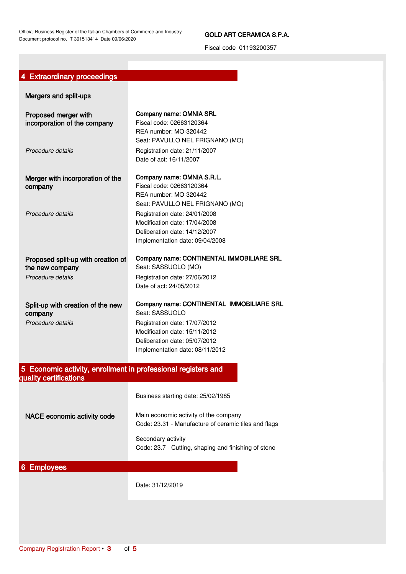Official Business Register of the Italian Chambers of Commerce and Industry Document protocol no. T 391513414 Date 09/06/2020

#### GOLD ART CERAMICA S.P.A.

Fiscal code 01193200357

### <span id="page-2-0"></span>4 Extraordinary proceedings

<span id="page-2-2"></span><span id="page-2-1"></span>

| Mergers and split-ups                                                                   |                                                                                                                                                                                      |
|-----------------------------------------------------------------------------------------|--------------------------------------------------------------------------------------------------------------------------------------------------------------------------------------|
| Proposed merger with<br>incorporation of the company                                    | Company name: OMNIA SRL<br>Fiscal code: 02663120364<br>REA number: MO-320442<br>Seat: PAVULLO NEL FRIGNANO (MO)                                                                      |
| Procedure details                                                                       | Registration date: 21/11/2007<br>Date of act: 16/11/2007                                                                                                                             |
| Merger with incorporation of the<br>company<br>Procedure details                        | Company name: OMNIA S.R.L.<br>Fiscal code: 02663120364<br>REA number: MO-320442<br>Seat: PAVULLO NEL FRIGNANO (MO)<br>Registration date: 24/01/2008<br>Modification date: 17/04/2008 |
|                                                                                         | Deliberation date: 14/12/2007<br>Implementation date: 09/04/2008                                                                                                                     |
| Proposed split-up with creation of<br>the new company                                   | Company name: CONTINENTAL IMMOBILIARE SRL<br>Seat: SASSUOLO (MO)                                                                                                                     |
| Procedure details                                                                       | Registration date: 27/06/2012<br>Date of act: 24/05/2012                                                                                                                             |
| Split-up with creation of the new<br>company                                            | Company name: CONTINENTAL IMMOBILIARE SRL<br>Seat: SASSUOLO                                                                                                                          |
| Procedure details                                                                       | Registration date: 17/07/2012<br>Modification date: 15/11/2012<br>Deliberation date: 05/07/2012<br>Implementation date: 08/11/2012                                                   |
| 5 Economic activity, enrollment in professional registers and<br>quality certifications |                                                                                                                                                                                      |
|                                                                                         | Business starting date: 25/02/1985                                                                                                                                                   |
| NACE economic activity code                                                             | Main economic activity of the company<br>Code: 23.31 - Manufacture of ceramic tiles and flags                                                                                        |
|                                                                                         | Secondary activity<br>Code: 23.7 - Cutting, shaping and finishing of stone                                                                                                           |
| 6 Employees                                                                             |                                                                                                                                                                                      |
|                                                                                         | Date: 31/12/2019                                                                                                                                                                     |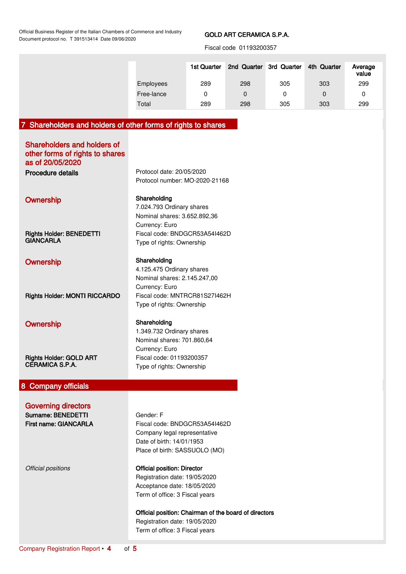Official Business Register of the Italian Chambers of Commerce and Industry Document protocol no. T 391513414 Date 09/06/2020

#### GOLD ART CERAMICA S.P.A.

Fiscal code 01193200357

|            | 1st Quarter | 2nd Quarter 3rd Quarter |     | 4th Quarter | Average<br>value |
|------------|-------------|-------------------------|-----|-------------|------------------|
| Employees  | 289         | 298                     | 305 | 303         | 299              |
| Free-lance | 0           | 0                       |     | 0           | 0                |
| Total      | 289         | 298                     | 305 | 303         | 299              |

# <span id="page-3-0"></span>7 Shareholders and holders of other forms of rights to shares

<span id="page-3-1"></span>

| <b>Shareholders and holders of</b><br>other forms of rights to shares<br>as of 20/05/2020<br>Procedure details | Protocol date: 20/05/2020<br>Protocol number: MO-2020-21168                                                                                                                                                                                                      |
|----------------------------------------------------------------------------------------------------------------|------------------------------------------------------------------------------------------------------------------------------------------------------------------------------------------------------------------------------------------------------------------|
| Ownership                                                                                                      | Shareholding<br>7.024.793 Ordinary shares<br>Nominal shares: 3.652.892,36<br>Currency: Euro                                                                                                                                                                      |
| <b>Rights Holder: BENEDETTI</b><br><b>GIANCARLA</b>                                                            | Fiscal code: BNDGCR53A54I462D<br>Type of rights: Ownership                                                                                                                                                                                                       |
| Ownership                                                                                                      | Shareholding<br>4.125.475 Ordinary shares<br>Nominal shares: 2.145.247,00<br>Currency: Euro                                                                                                                                                                      |
| Rights Holder: MONTI RICCARDO                                                                                  | Fiscal code: MNTRCR81S27I462H<br>Type of rights: Ownership                                                                                                                                                                                                       |
| Ownership                                                                                                      | Shareholding<br>1.349.732 Ordinary shares<br>Nominal shares: 701.860,64<br>Currency: Euro                                                                                                                                                                        |
| <b>Rights Holder: GOLD ART</b><br><b>CERAMICA S.P.A.</b>                                                       | Fiscal code: 01193200357<br>Type of rights: Ownership                                                                                                                                                                                                            |
| 8 Company officials                                                                                            |                                                                                                                                                                                                                                                                  |
| <b>Governing directors</b><br>Surname: BENEDETTI<br><b>First name: GIANCARLA</b>                               | Gender: F<br>Fiscal code: BNDGCR53A54I462D<br>Company legal representative<br>Date of birth: 14/01/1953<br>Place of birth: SASSUOLO (MO)                                                                                                                         |
| Official positions                                                                                             | <b>Official position: Director</b><br>Registration date: 19/05/2020<br>Acceptance date: 18/05/2020<br>Term of office: 3 Fiscal years<br>Official position: Chairman of the board of directors<br>Registration date: 19/05/2020<br>Term of office: 3 Fiscal years |
|                                                                                                                |                                                                                                                                                                                                                                                                  |